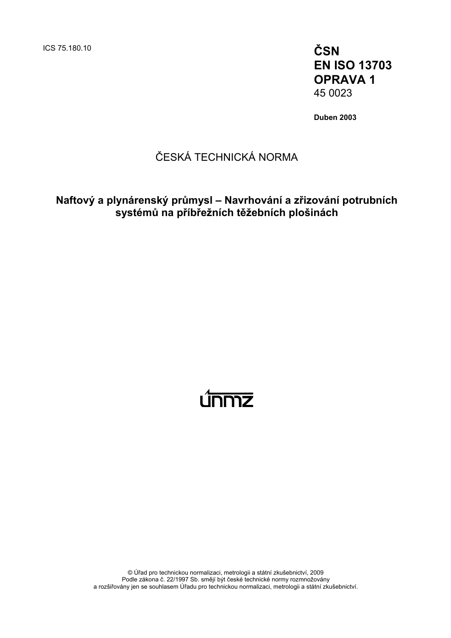ICS 75.180.10 **ČSN** 

**EN ISO 13703 OPRAVA 1**  45 0023

**Duben 2003** 

## ČESKÁ TECHNICKÁ NORMA

### **Naftový a plynárenský průmysl – Navrhování a zřizování potrubních systémů na příbřežních těžebních plošinách**

# unnz

© Úřad pro technickou normalizaci, metrologii a státní zkušebnictví, 2009 Podle zákona č. 22/1997 Sb. smějí být české technické normy rozmnožovány a rozšiřovány jen se souhlasem Úřadu pro technickou normalizaci, metrologii a státní zkušebnictví.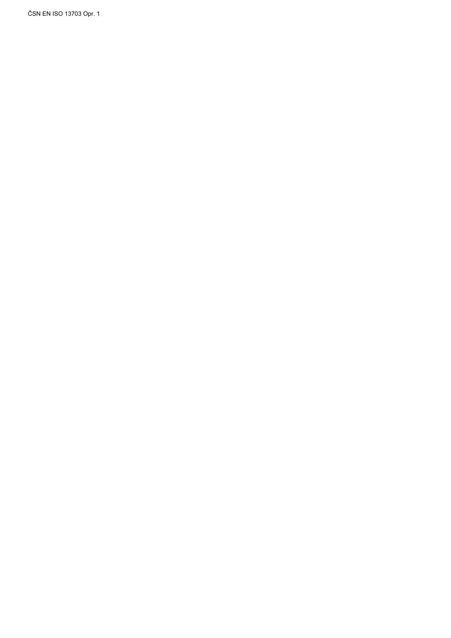ČSN EN ISO 13703 Opr. 1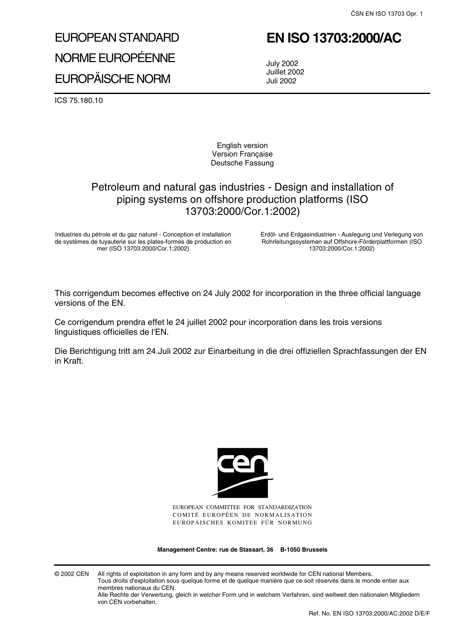## EUROPEAN STANDARD NORME EUROPÉENNE EUROPÄISCHE NORM

## **EN ISO 13703:2000/AC**

July 2002 Juillet 2002 Juli 2002

ICS 75.180.10

English version Version Française Deutsche Fassung

#### Petroleum and natural gas industries - Design and installation of piping systems on offshore production platforms (ISO 13703:2000/Cor.1:2002)

Industries du pétrole et du gaz naturel - Conception et installation de systèmes de tuyauterie sur les plates-formes de production en mer (ISO 13703:2000/Cor.1:2002)

Erdöl- und Erdgasindustrien - Auslegung und Verlegung von Rohrleitungssystemen auf Offshore-Förderplattformen (ISO 13703:2000/Cor.1:2002)

This corrigendum becomes effective on 24 July 2002 for incorporation in the three official language versions of the EN.

Ce corrigendum prendra effet le 24 juillet 2002 pour incorporation dans les trois versions linguistiques officielles de l'EN.

Die Berichtigung tritt am 24.Juli 2002 zur Einarbeitung in die drei offiziellen Sprachfassungen der EN in Kraft.



EUROPEAN COMMITTEE FOR STANDARDIZATION COMITÉ EUROPÉEN DE NORMALISATION EUROPÄISCHES KOMITEE FÜR NORMUNG

**Management Centre: rue de Stassart, 36 B-1050 Brussels**

© 2002 CEN All rights of exploitation in any form and by any means reserved worldwide for CEN national Members. Tous droits d'exploitation sous quelque forme et de quelque manière que ce soit réservés dans le monde entier aux membres nationaux du CEN.

Alle Rechte der Verwertung, gleich in welcher Form und in welchem Verfahren, sind weltweit den nationalen Mitgliedern von CEN vorbehalten.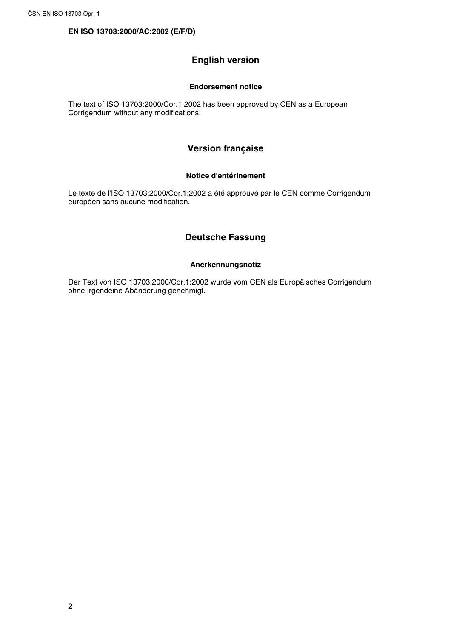#### **EN ISO 13703:2000/AC:2002 (E/F/D)**

#### **English version**

#### **Endorsement notice**

The text of ISO 13703:2000/Cor.1:2002 has been approved by CEN as a European Corrigendum without any modifications.

#### **Version française**

#### **Notice d'entérinement**

Le texte de l'ISO 13703:2000/Cor.1:2002 a été approuvé par le CEN comme Corrigendum européen sans aucune modification.

#### **Deutsche Fassung**

#### **Anerkennungsnotiz**

Der Text von ISO 13703:2000/Cor.1:2002 wurde vom CEN als Europäisches Corrigendum ohne irgendeine Abänderung genehmigt.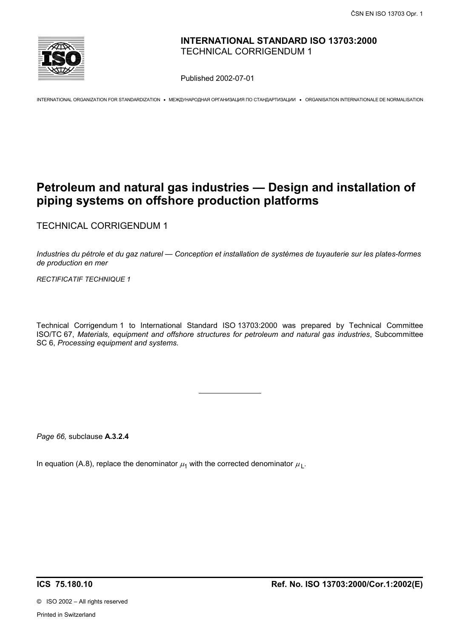

#### **INTERNATIONAL STANDARD ISO 13703:2000**  TECHNICAL CORRIGENDUM 1

Published 2002-07-01

INTERNATIONAL ORGANIZATION FOR STANDARDIZATION • МЕЖДУНАРОДНАЯ ОРГАНИЗАЦИЯ ПО СТАНДАРТИЗАЦИИ • ORGANISATION INTERNATIONALE DE NORMALISATION

## **Petroleum and natural gas industries — Design and installation of piping systems on offshore production platforms**

TECHNICAL CORRIGENDUM 1

*Industries du pétrole et du gaz naturel — Conception et installation de systèmes de tuyauterie sur les plates-formes de production en mer*

*RECTIFICATIF TECHNIQUE 1*

Technical Corrigendum 1 to International Standard ISO 13703:2000 was prepared by Technical Committee ISO/TC 67, *Materials, equipment and offshore structures for petroleum and natural gas industries*, Subcommittee SC 6, *Processing equipment and systems.*

*Page 66,* subclause **A.3.2.4** 

In equation (A.8), replace the denominator  $\mu_1$  with the corrected denominator  $\mu_1$ .

©ISO 2002 – All rights reserved